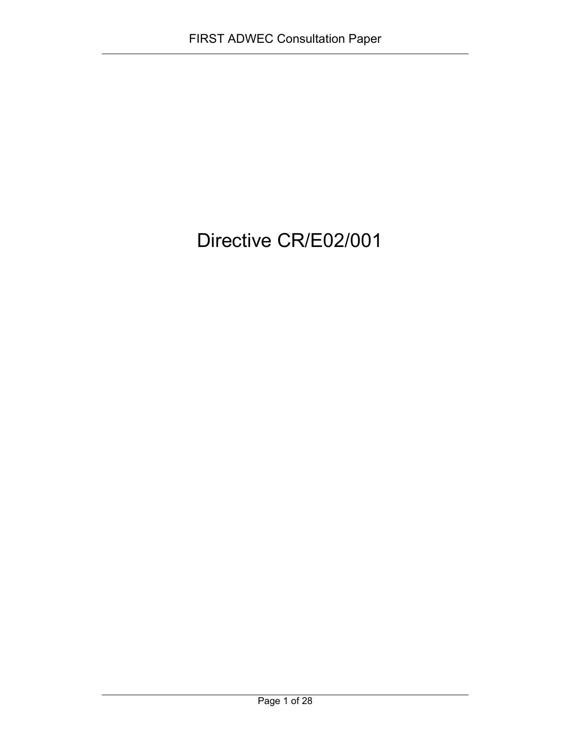# Directive CR/E02/001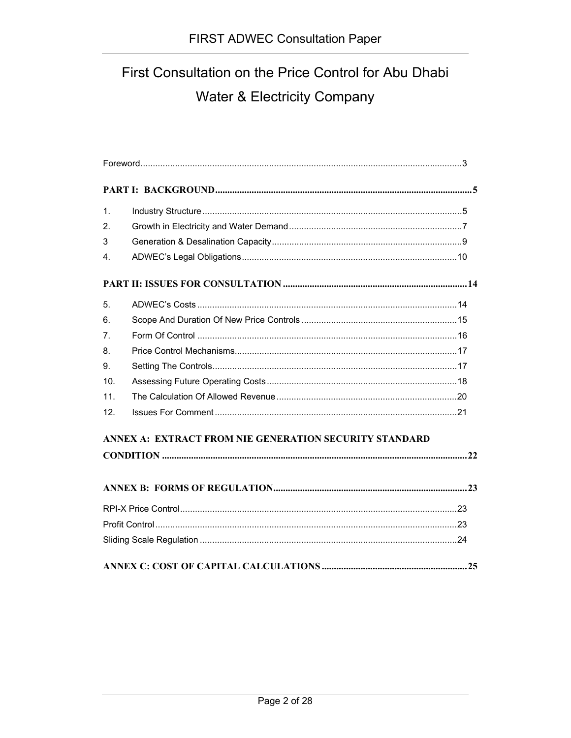# First Consultation on the Price Control for Abu Dhabi Water & Electricity Company

| 1.                                                     |  |  |  |  |  |
|--------------------------------------------------------|--|--|--|--|--|
| 2.                                                     |  |  |  |  |  |
| 3                                                      |  |  |  |  |  |
| 4 <sup>1</sup>                                         |  |  |  |  |  |
|                                                        |  |  |  |  |  |
| 5.                                                     |  |  |  |  |  |
| 6.                                                     |  |  |  |  |  |
| 7.                                                     |  |  |  |  |  |
| 8.                                                     |  |  |  |  |  |
| 9.                                                     |  |  |  |  |  |
| 10.                                                    |  |  |  |  |  |
| 11.                                                    |  |  |  |  |  |
| 12.                                                    |  |  |  |  |  |
| ANNEX A: EXTRACT FROM NIE GENERATION SECURITY STANDARD |  |  |  |  |  |
|                                                        |  |  |  |  |  |
|                                                        |  |  |  |  |  |
|                                                        |  |  |  |  |  |
|                                                        |  |  |  |  |  |
|                                                        |  |  |  |  |  |
|                                                        |  |  |  |  |  |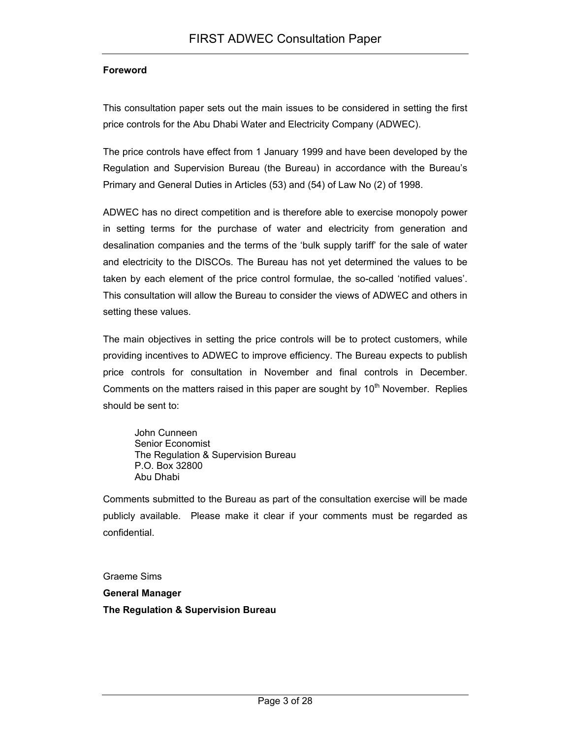#### **Foreword**

This consultation paper sets out the main issues to be considered in setting the first price controls for the Abu Dhabi Water and Electricity Company (ADWEC).

The price controls have effect from 1 January 1999 and have been developed by the Regulation and Supervision Bureau (the Bureau) in accordance with the Bureau's Primary and General Duties in Articles (53) and (54) of Law No (2) of 1998.

ADWEC has no direct competition and is therefore able to exercise monopoly power in setting terms for the purchase of water and electricity from generation and desalination companies and the terms of the 'bulk supply tariff' for the sale of water and electricity to the DISCOs. The Bureau has not yet determined the values to be taken by each element of the price control formulae, the so-called 'notified values'. This consultation will allow the Bureau to consider the views of ADWEC and others in setting these values.

The main objectives in setting the price controls will be to protect customers, while providing incentives to ADWEC to improve efficiency. The Bureau expects to publish price controls for consultation in November and final controls in December. Comments on the matters raised in this paper are sought by  $10<sup>th</sup>$  November. Replies should be sent to:

John Cunneen Senior Economist The Regulation & Supervision Bureau P.O. Box 32800 Abu Dhabi

Comments submitted to the Bureau as part of the consultation exercise will be made publicly available. Please make it clear if your comments must be regarded as confidential.

Graeme Sims **General Manager The Regulation & Supervision Bureau**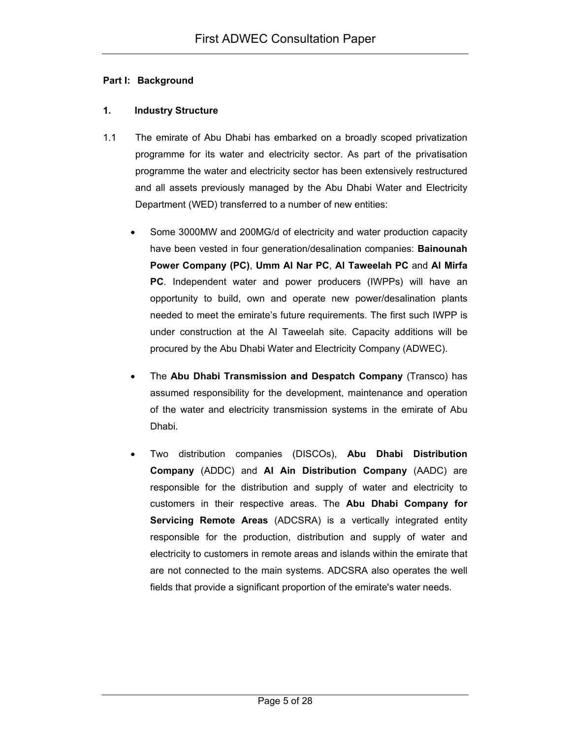#### **Part I: Background**

### **1. Industry Structure**

- 1.1 The emirate of Abu Dhabi has embarked on a broadly scoped privatization programme for its water and electricity sector. As part of the privatisation programme the water and electricity sector has been extensively restructured and all assets previously managed by the Abu Dhabi Water and Electricity Department (WED) transferred to a number of new entities:
	- Some 3000MW and 200MG/d of electricity and water production capacity have been vested in four generation/desalination companies: **Bainounah Power Company (PC)**, **Umm Al Nar PC**, **Al Taweelah PC** and **Al Mirfa PC**. Independent water and power producers (IWPPs) will have an opportunity to build, own and operate new power/desalination plants needed to meet the emirate's future requirements. The first such IWPP is under construction at the Al Taweelah site. Capacity additions will be procured by the Abu Dhabi Water and Electricity Company (ADWEC).
	- The **Abu Dhabi Transmission and Despatch Company** (Transco) has assumed responsibility for the development, maintenance and operation of the water and electricity transmission systems in the emirate of Abu Dhabi.
	- Two distribution companies (DISCOs), **Abu Dhabi Distribution Company** (ADDC) and **Al Ain Distribution Company** (AADC) are responsible for the distribution and supply of water and electricity to customers in their respective areas. The **Abu Dhabi Company for Servicing Remote Areas** (ADCSRA) is a vertically integrated entity responsible for the production, distribution and supply of water and electricity to customers in remote areas and islands within the emirate that are not connected to the main systems. ADCSRA also operates the well fields that provide a significant proportion of the emirate's water needs.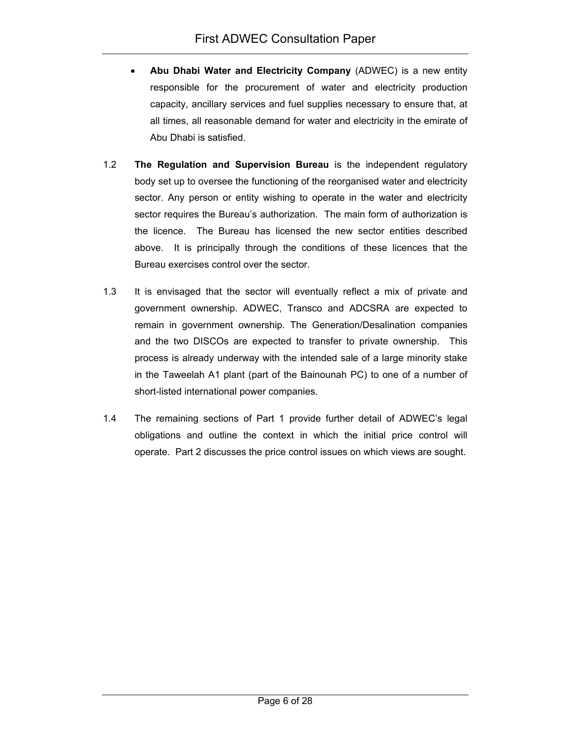- **Abu Dhabi Water and Electricity Company** (ADWEC) is a new entity responsible for the procurement of water and electricity production capacity, ancillary services and fuel supplies necessary to ensure that, at all times, all reasonable demand for water and electricity in the emirate of Abu Dhabi is satisfied.
- 1.2 **The Regulation and Supervision Bureau** is the independent regulatory body set up to oversee the functioning of the reorganised water and electricity sector. Any person or entity wishing to operate in the water and electricity sector requires the Bureau's authorization. The main form of authorization is the licence. The Bureau has licensed the new sector entities described above. It is principally through the conditions of these licences that the Bureau exercises control over the sector.
- 1.3 It is envisaged that the sector will eventually reflect a mix of private and government ownership. ADWEC, Transco and ADCSRA are expected to remain in government ownership. The Generation/Desalination companies and the two DISCOs are expected to transfer to private ownership. This process is already underway with the intended sale of a large minority stake in the Taweelah A1 plant (part of the Bainounah PC) to one of a number of short-listed international power companies.
- 1.4 The remaining sections of Part 1 provide further detail of ADWEC's legal obligations and outline the context in which the initial price control will operate. Part 2 discusses the price control issues on which views are sought.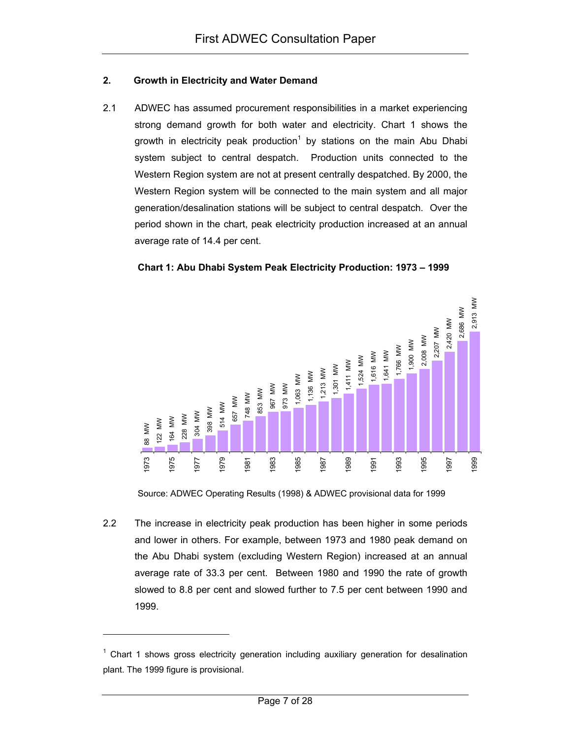#### **2. Growth in Electricity and Water Demand**

2.1 ADWEC has assumed procurement responsibilities in a market experiencing strong demand growth for both water and electricity. Chart 1 shows the growth in electricity peak production<sup>1</sup> by stations on the main Abu Dhabi system subject to central despatch. Production units connected to the Western Region system are not at present centrally despatched. By 2000, the Western Region system will be connected to the main system and all major generation/desalination stations will be subject to central despatch. Over the period shown in the chart, peak electricity production increased at an annual average rate of 14.4 per cent.





Source: ADWEC Operating Results (1998) & ADWEC provisional data for 1999

2.2 The increase in electricity peak production has been higher in some periods and lower in others. For example, between 1973 and 1980 peak demand on the Abu Dhabi system (excluding Western Region) increased at an annual average rate of 33.3 per cent. Between 1980 and 1990 the rate of growth slowed to 8.8 per cent and slowed further to 7.5 per cent between 1990 and 1999.

l

 $1$  Chart 1 shows gross electricity generation including auxiliary generation for desalination plant. The 1999 figure is provisional.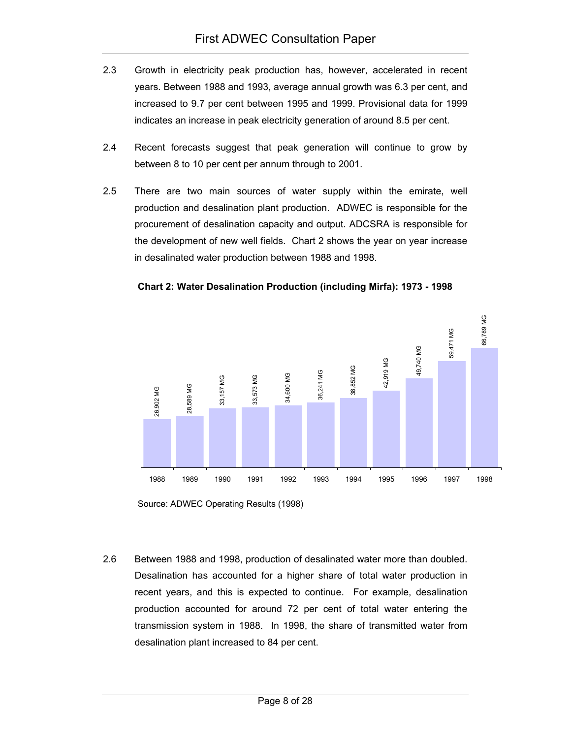- 2.3 Growth in electricity peak production has, however, accelerated in recent years. Between 1988 and 1993, average annual growth was 6.3 per cent, and increased to 9.7 per cent between 1995 and 1999. Provisional data for 1999 indicates an increase in peak electricity generation of around 8.5 per cent.
- 2.4 Recent forecasts suggest that peak generation will continue to grow by between 8 to 10 per cent per annum through to 2001.
- 2.5 There are two main sources of water supply within the emirate, well production and desalination plant production. ADWEC is responsible for the procurement of desalination capacity and output. ADCSRA is responsible for the development of new well fields. Chart 2 shows the year on year increase in desalinated water production between 1988 and 1998.





Source: ADWEC Operating Results (1998)

2.6 Between 1988 and 1998, production of desalinated water more than doubled. Desalination has accounted for a higher share of total water production in recent years, and this is expected to continue. For example, desalination production accounted for around 72 per cent of total water entering the transmission system in 1988. In 1998, the share of transmitted water from desalination plant increased to 84 per cent.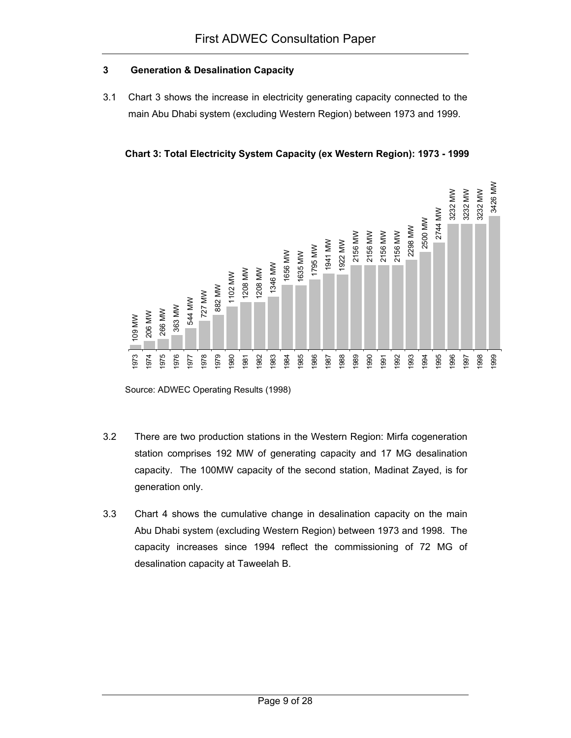# **3 Generation & Desalination Capacity**

3.1 Chart 3 shows the increase in electricity generating capacity connected to the main Abu Dhabi system (excluding Western Region) between 1973 and 1999.

**Chart 3: Total Electricity System Capacity (ex Western Region): 1973 - 1999** 



Source: ADWEC Operating Results (1998)

- 3.2 There are two production stations in the Western Region: Mirfa cogeneration station comprises 192 MW of generating capacity and 17 MG desalination capacity. The 100MW capacity of the second station, Madinat Zayed, is for generation only.
- 3.3 Chart 4 shows the cumulative change in desalination capacity on the main Abu Dhabi system (excluding Western Region) between 1973 and 1998. The capacity increases since 1994 reflect the commissioning of 72 MG of desalination capacity at Taweelah B.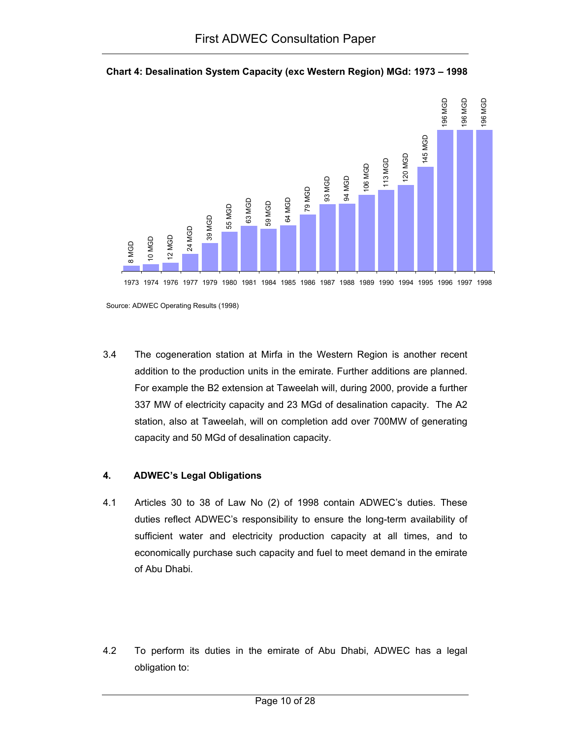



3.4 The cogeneration station at Mirfa in the Western Region is another recent addition to the production units in the emirate. Further additions are planned. For example the B2 extension at Taweelah will, during 2000, provide a further 337 MW of electricity capacity and 23 MGd of desalination capacity. The A2 station, also at Taweelah, will on completion add over 700MW of generating capacity and 50 MGd of desalination capacity.

# **4. ADWEC's Legal Obligations**

- 4.1 Articles 30 to 38 of Law No (2) of 1998 contain ADWEC's duties. These duties reflect ADWEC's responsibility to ensure the long-term availability of sufficient water and electricity production capacity at all times, and to economically purchase such capacity and fuel to meet demand in the emirate of Abu Dhabi.
- 4.2 To perform its duties in the emirate of Abu Dhabi, ADWEC has a legal obligation to:

Source: ADWEC Operating Results (1998)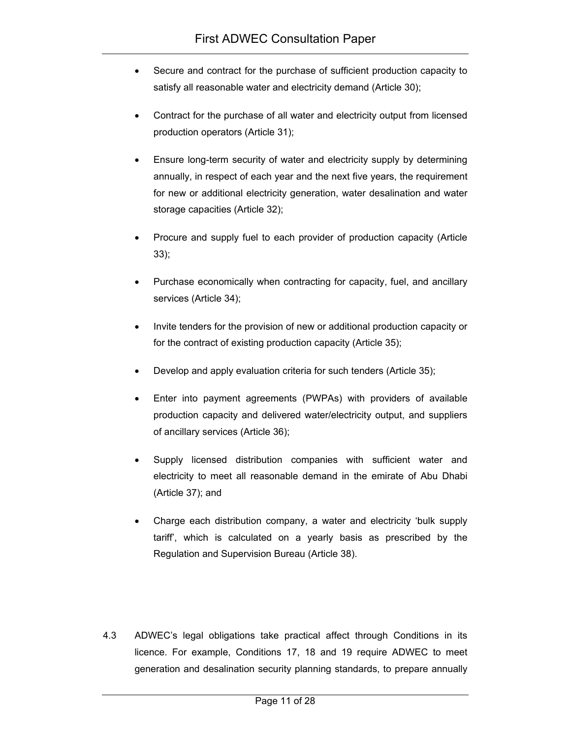- Secure and contract for the purchase of sufficient production capacity to satisfy all reasonable water and electricity demand (Article 30);
- Contract for the purchase of all water and electricity output from licensed production operators (Article 31);
- Ensure long-term security of water and electricity supply by determining annually, in respect of each year and the next five years, the requirement for new or additional electricity generation, water desalination and water storage capacities (Article 32);
- Procure and supply fuel to each provider of production capacity (Article 33);
- Purchase economically when contracting for capacity, fuel, and ancillary services (Article 34);
- Invite tenders for the provision of new or additional production capacity or for the contract of existing production capacity (Article 35);
- Develop and apply evaluation criteria for such tenders (Article 35);
- Enter into payment agreements (PWPAs) with providers of available production capacity and delivered water/electricity output, and suppliers of ancillary services (Article 36);
- Supply licensed distribution companies with sufficient water and electricity to meet all reasonable demand in the emirate of Abu Dhabi (Article 37); and
- Charge each distribution company, a water and electricity 'bulk supply tariff', which is calculated on a yearly basis as prescribed by the Regulation and Supervision Bureau (Article 38).
- 4.3 ADWEC's legal obligations take practical affect through Conditions in its licence. For example, Conditions 17, 18 and 19 require ADWEC to meet generation and desalination security planning standards, to prepare annually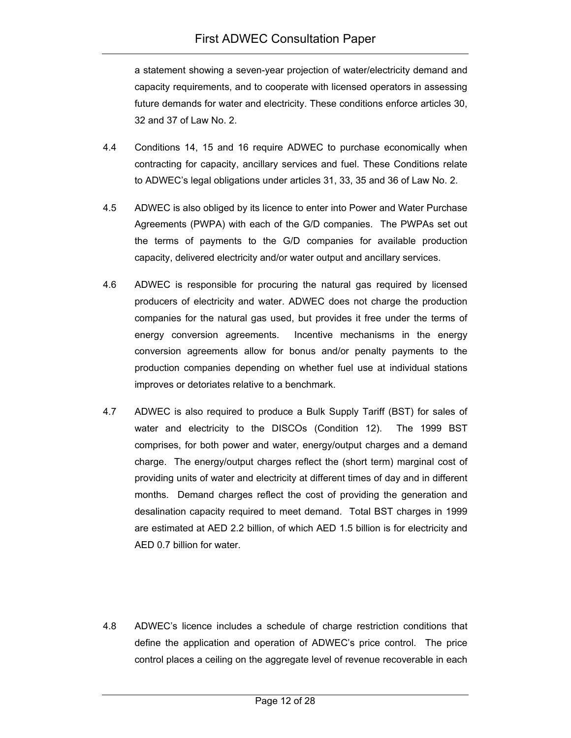a statement showing a seven-year projection of water/electricity demand and capacity requirements, and to cooperate with licensed operators in assessing future demands for water and electricity. These conditions enforce articles 30, 32 and 37 of Law No. 2.

- 4.4 Conditions 14, 15 and 16 require ADWEC to purchase economically when contracting for capacity, ancillary services and fuel. These Conditions relate to ADWEC's legal obligations under articles 31, 33, 35 and 36 of Law No. 2.
- 4.5 ADWEC is also obliged by its licence to enter into Power and Water Purchase Agreements (PWPA) with each of the G/D companies. The PWPAs set out the terms of payments to the G/D companies for available production capacity, delivered electricity and/or water output and ancillary services.
- 4.6 ADWEC is responsible for procuring the natural gas required by licensed producers of electricity and water. ADWEC does not charge the production companies for the natural gas used, but provides it free under the terms of energy conversion agreements. Incentive mechanisms in the energy conversion agreements allow for bonus and/or penalty payments to the production companies depending on whether fuel use at individual stations improves or detoriates relative to a benchmark.
- 4.7 ADWEC is also required to produce a Bulk Supply Tariff (BST) for sales of water and electricity to the DISCOs (Condition 12). The 1999 BST comprises, for both power and water, energy/output charges and a demand charge. The energy/output charges reflect the (short term) marginal cost of providing units of water and electricity at different times of day and in different months. Demand charges reflect the cost of providing the generation and desalination capacity required to meet demand. Total BST charges in 1999 are estimated at AED 2.2 billion, of which AED 1.5 billion is for electricity and AED 0.7 billion for water.
- 4.8 ADWEC's licence includes a schedule of charge restriction conditions that define the application and operation of ADWEC's price control. The price control places a ceiling on the aggregate level of revenue recoverable in each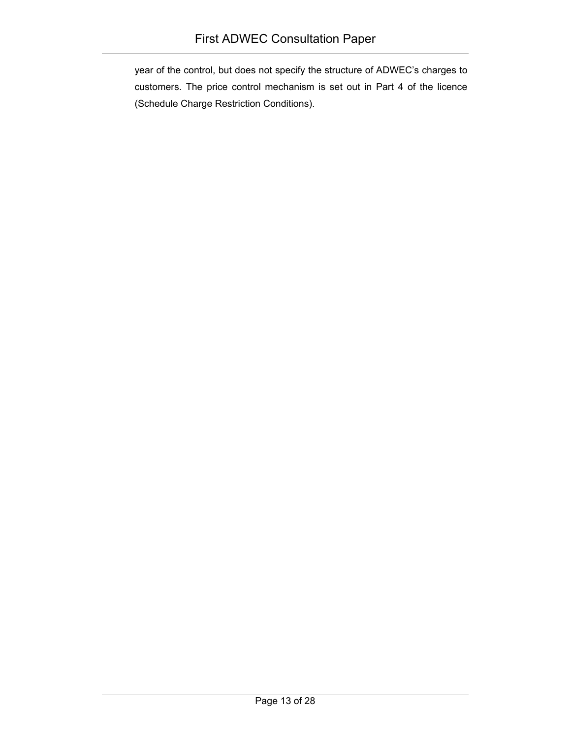year of the control, but does not specify the structure of ADWEC's charges to customers. The price control mechanism is set out in Part 4 of the licence (Schedule Charge Restriction Conditions).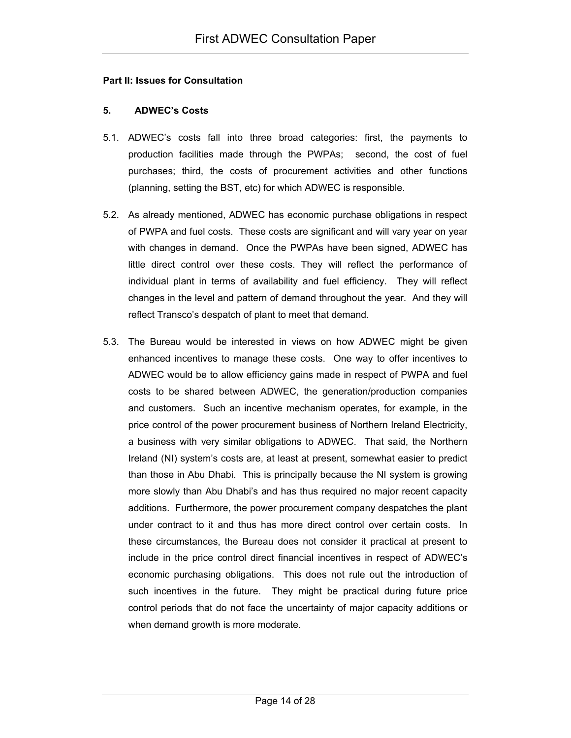#### **Part II: Issues for Consultation**

### **5. ADWEC's Costs**

- 5.1. ADWEC's costs fall into three broad categories: first, the payments to production facilities made through the PWPAs; second, the cost of fuel purchases; third, the costs of procurement activities and other functions (planning, setting the BST, etc) for which ADWEC is responsible.
- 5.2. As already mentioned, ADWEC has economic purchase obligations in respect of PWPA and fuel costs. These costs are significant and will vary year on year with changes in demand. Once the PWPAs have been signed, ADWEC has little direct control over these costs. They will reflect the performance of individual plant in terms of availability and fuel efficiency. They will reflect changes in the level and pattern of demand throughout the year. And they will reflect Transco's despatch of plant to meet that demand.
- 5.3. The Bureau would be interested in views on how ADWEC might be given enhanced incentives to manage these costs. One way to offer incentives to ADWEC would be to allow efficiency gains made in respect of PWPA and fuel costs to be shared between ADWEC, the generation/production companies and customers. Such an incentive mechanism operates, for example, in the price control of the power procurement business of Northern Ireland Electricity, a business with very similar obligations to ADWEC. That said, the Northern Ireland (NI) system's costs are, at least at present, somewhat easier to predict than those in Abu Dhabi. This is principally because the NI system is growing more slowly than Abu Dhabi's and has thus required no major recent capacity additions. Furthermore, the power procurement company despatches the plant under contract to it and thus has more direct control over certain costs. In these circumstances, the Bureau does not consider it practical at present to include in the price control direct financial incentives in respect of ADWEC's economic purchasing obligations. This does not rule out the introduction of such incentives in the future. They might be practical during future price control periods that do not face the uncertainty of major capacity additions or when demand growth is more moderate.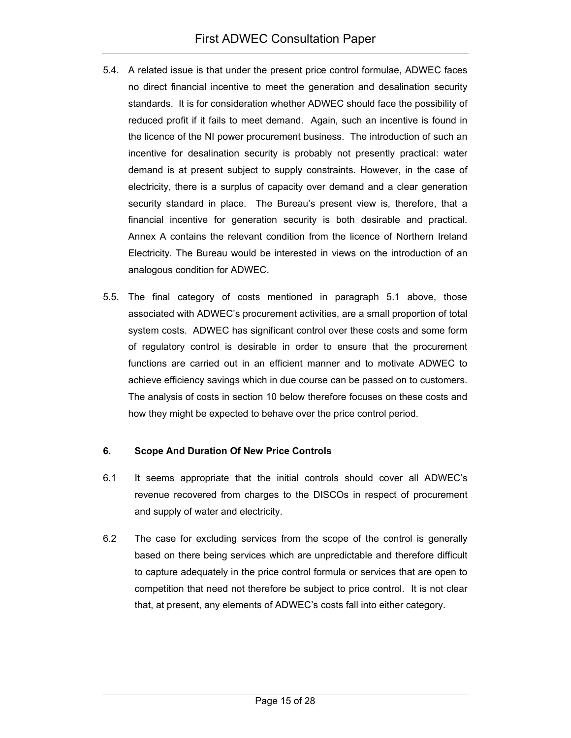- 5.4. A related issue is that under the present price control formulae, ADWEC faces no direct financial incentive to meet the generation and desalination security standards. It is for consideration whether ADWEC should face the possibility of reduced profit if it fails to meet demand. Again, such an incentive is found in the licence of the NI power procurement business. The introduction of such an incentive for desalination security is probably not presently practical: water demand is at present subject to supply constraints. However, in the case of electricity, there is a surplus of capacity over demand and a clear generation security standard in place. The Bureau's present view is, therefore, that a financial incentive for generation security is both desirable and practical. Annex A contains the relevant condition from the licence of Northern Ireland Electricity. The Bureau would be interested in views on the introduction of an analogous condition for ADWEC.
- 5.5. The final category of costs mentioned in paragraph 5.1 above, those associated with ADWEC's procurement activities, are a small proportion of total system costs. ADWEC has significant control over these costs and some form of regulatory control is desirable in order to ensure that the procurement functions are carried out in an efficient manner and to motivate ADWEC to achieve efficiency savings which in due course can be passed on to customers. The analysis of costs in section 10 below therefore focuses on these costs and how they might be expected to behave over the price control period.

# **6. Scope And Duration Of New Price Controls**

- 6.1 It seems appropriate that the initial controls should cover all ADWEC's revenue recovered from charges to the DISCOs in respect of procurement and supply of water and electricity.
- 6.2 The case for excluding services from the scope of the control is generally based on there being services which are unpredictable and therefore difficult to capture adequately in the price control formula or services that are open to competition that need not therefore be subject to price control. It is not clear that, at present, any elements of ADWEC's costs fall into either category.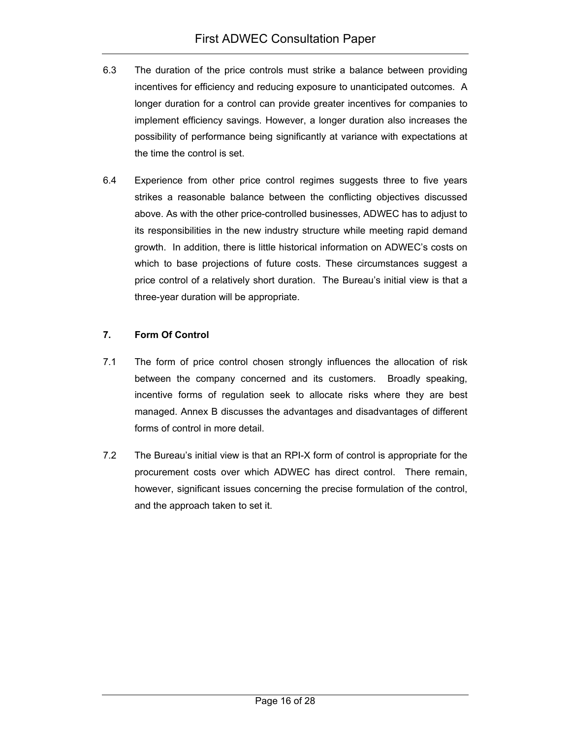- 6.3 The duration of the price controls must strike a balance between providing incentives for efficiency and reducing exposure to unanticipated outcomes. A longer duration for a control can provide greater incentives for companies to implement efficiency savings. However, a longer duration also increases the possibility of performance being significantly at variance with expectations at the time the control is set.
- 6.4 Experience from other price control regimes suggests three to five years strikes a reasonable balance between the conflicting objectives discussed above. As with the other price-controlled businesses, ADWEC has to adjust to its responsibilities in the new industry structure while meeting rapid demand growth. In addition, there is little historical information on ADWEC's costs on which to base projections of future costs. These circumstances suggest a price control of a relatively short duration. The Bureau's initial view is that a three-year duration will be appropriate.

# **7. Form Of Control**

- 7.1 The form of price control chosen strongly influences the allocation of risk between the company concerned and its customers. Broadly speaking, incentive forms of regulation seek to allocate risks where they are best managed. Annex B discusses the advantages and disadvantages of different forms of control in more detail.
- 7.2 The Bureau's initial view is that an RPI-X form of control is appropriate for the procurement costs over which ADWEC has direct control. There remain, however, significant issues concerning the precise formulation of the control, and the approach taken to set it.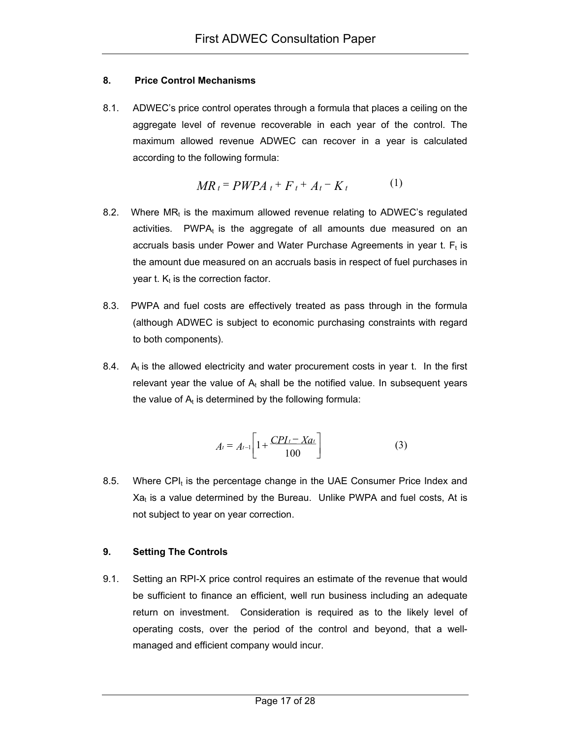# **8. Price Control Mechanisms**

8.1. ADWEC's price control operates through a formula that places a ceiling on the aggregate level of revenue recoverable in each year of the control. The maximum allowed revenue ADWEC can recover in a year is calculated according to the following formula:

$$
MR_t = PWPA_t + F_t + A_t - K_t \tag{1}
$$

- 8.2. Where  $MR_t$  is the maximum allowed revenue relating to ADWEC's regulated activities. PWP $A_t$  is the aggregate of all amounts due measured on an accruals basis under Power and Water Purchase Agreements in year t.  $F_t$  is the amount due measured on an accruals basis in respect of fuel purchases in year t.  $K_t$  is the correction factor.
- 8.3. PWPA and fuel costs are effectively treated as pass through in the formula (although ADWEC is subject to economic purchasing constraints with regard to both components).
- 8.4.  $A<sub>t</sub>$  is the allowed electricity and water procurement costs in year t. In the first relevant year the value of  $A_t$  shall be the notified value. In subsequent years the value of  $A_t$  is determined by the following formula:

$$
A_{t} = A_{t-1} \left[ 1 + \frac{CPI_{t} - Xa_{t}}{100} \right]
$$
 (3)

8.5. Where CPI $<sub>t</sub>$  is the percentage change in the UAE Consumer Price Index and</sub>  $Xa<sub>t</sub>$  is a value determined by the Bureau. Unlike PWPA and fuel costs, At is not subject to year on year correction.

# **9. Setting The Controls**

9.1. Setting an RPI-X price control requires an estimate of the revenue that would be sufficient to finance an efficient, well run business including an adequate return on investment. Consideration is required as to the likely level of operating costs, over the period of the control and beyond, that a wellmanaged and efficient company would incur.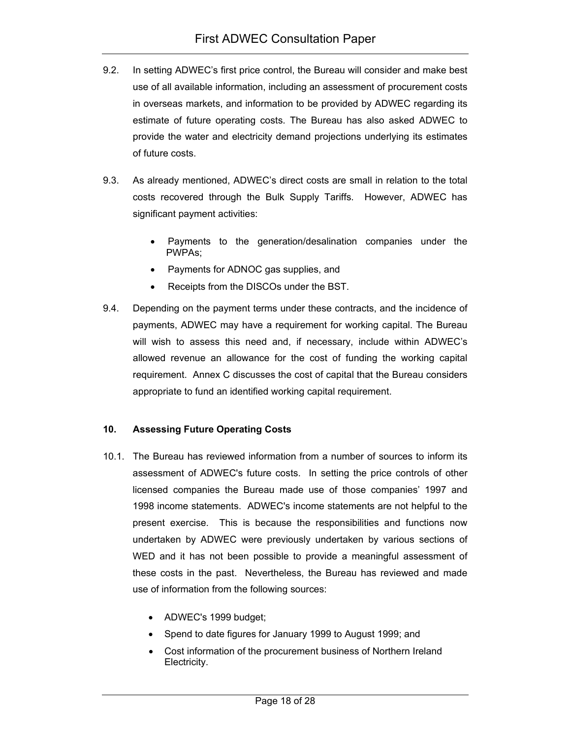- 9.2. In setting ADWEC's first price control, the Bureau will consider and make best use of all available information, including an assessment of procurement costs in overseas markets, and information to be provided by ADWEC regarding its estimate of future operating costs. The Bureau has also asked ADWEC to provide the water and electricity demand projections underlying its estimates of future costs.
- 9.3. As already mentioned, ADWEC's direct costs are small in relation to the total costs recovered through the Bulk Supply Tariffs. However, ADWEC has significant payment activities:
	- Payments to the generation/desalination companies under the PWPAs;
	- Payments for ADNOC gas supplies, and
	- Receipts from the DISCOs under the BST.
- 9.4. Depending on the payment terms under these contracts, and the incidence of payments, ADWEC may have a requirement for working capital. The Bureau will wish to assess this need and, if necessary, include within ADWEC's allowed revenue an allowance for the cost of funding the working capital requirement. Annex C discusses the cost of capital that the Bureau considers appropriate to fund an identified working capital requirement.

# **10. Assessing Future Operating Costs**

- 10.1. The Bureau has reviewed information from a number of sources to inform its assessment of ADWEC's future costs. In setting the price controls of other licensed companies the Bureau made use of those companies' 1997 and 1998 income statements. ADWEC's income statements are not helpful to the present exercise. This is because the responsibilities and functions now undertaken by ADWEC were previously undertaken by various sections of WED and it has not been possible to provide a meaningful assessment of these costs in the past. Nevertheless, the Bureau has reviewed and made use of information from the following sources:
	- ADWEC's 1999 budget;
	- Spend to date figures for January 1999 to August 1999; and
	- Cost information of the procurement business of Northern Ireland Electricity.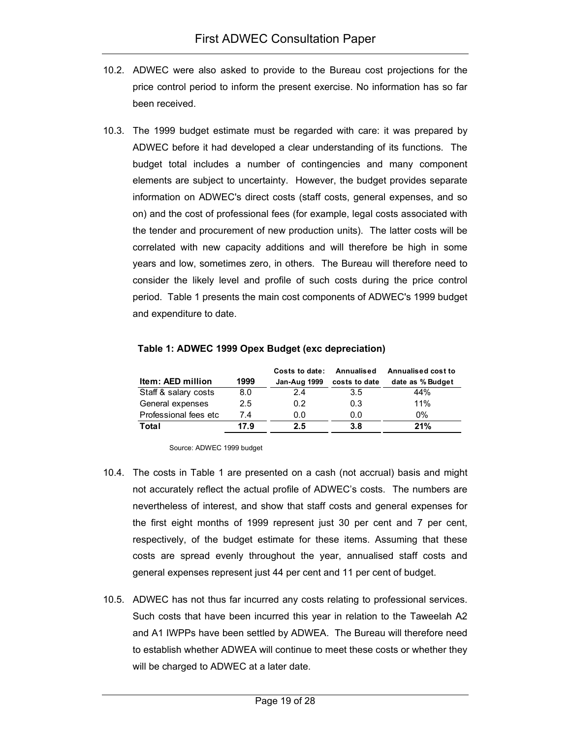- 10.2. ADWEC were also asked to provide to the Bureau cost projections for the price control period to inform the present exercise. No information has so far been received.
- 10.3. The 1999 budget estimate must be regarded with care: it was prepared by ADWEC before it had developed a clear understanding of its functions. The budget total includes a number of contingencies and many component elements are subject to uncertainty. However, the budget provides separate information on ADWEC's direct costs (staff costs, general expenses, and so on) and the cost of professional fees (for example, legal costs associated with the tender and procurement of new production units). The latter costs will be correlated with new capacity additions and will therefore be high in some years and low, sometimes zero, in others. The Bureau will therefore need to consider the likely level and profile of such costs during the price control period. Table 1 presents the main cost components of ADWEC's 1999 budget and expenditure to date.

|                       |      | Costs to date: | Annualised    | <b>Annualised cost to</b> |
|-----------------------|------|----------------|---------------|---------------------------|
| Item: AED million     | 1999 | Jan-Aug 1999   | costs to date | date as % Budget          |
| Staff & salary costs  | 8.0  | 24             | 3.5           | 44%                       |
| General expenses      | 2.5  | 0.2            | 0.3           | 11%                       |
| Professional fees etc | 7.4  | 0.0            | 0.0           | 0%                        |
| Total                 | 17.9 | 2.5            | 3.8           | 21%                       |

#### **Table 1: ADWEC 1999 Opex Budget (exc depreciation)**

Source: ADWEC 1999 budget

- 10.4. The costs in Table 1 are presented on a cash (not accrual) basis and might not accurately reflect the actual profile of ADWEC's costs. The numbers are nevertheless of interest, and show that staff costs and general expenses for the first eight months of 1999 represent just 30 per cent and 7 per cent, respectively, of the budget estimate for these items. Assuming that these costs are spread evenly throughout the year, annualised staff costs and general expenses represent just 44 per cent and 11 per cent of budget.
- 10.5. ADWEC has not thus far incurred any costs relating to professional services. Such costs that have been incurred this year in relation to the Taweelah A2 and A1 IWPPs have been settled by ADWEA. The Bureau will therefore need to establish whether ADWEA will continue to meet these costs or whether they will be charged to ADWEC at a later date.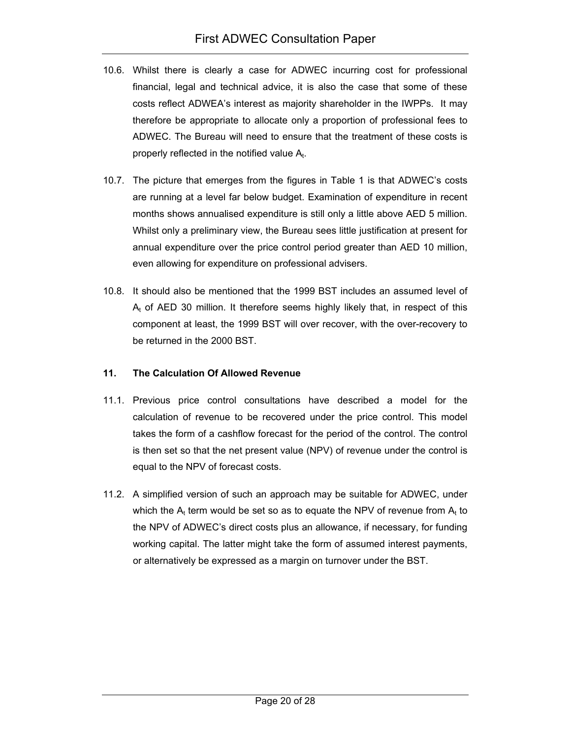- 10.6. Whilst there is clearly a case for ADWEC incurring cost for professional financial, legal and technical advice, it is also the case that some of these costs reflect ADWEA's interest as majority shareholder in the IWPPs. It may therefore be appropriate to allocate only a proportion of professional fees to ADWEC. The Bureau will need to ensure that the treatment of these costs is properly reflected in the notified value  $A_t$ .
- 10.7. The picture that emerges from the figures in Table 1 is that ADWEC's costs are running at a level far below budget. Examination of expenditure in recent months shows annualised expenditure is still only a little above AED 5 million. Whilst only a preliminary view, the Bureau sees little justification at present for annual expenditure over the price control period greater than AED 10 million, even allowing for expenditure on professional advisers.
- 10.8. It should also be mentioned that the 1999 BST includes an assumed level of  $A_t$  of AED 30 million. It therefore seems highly likely that, in respect of this component at least, the 1999 BST will over recover, with the over-recovery to be returned in the 2000 BST.

# **11. The Calculation Of Allowed Revenue**

- 11.1. Previous price control consultations have described a model for the calculation of revenue to be recovered under the price control. This model takes the form of a cashflow forecast for the period of the control. The control is then set so that the net present value (NPV) of revenue under the control is equal to the NPV of forecast costs.
- 11.2. A simplified version of such an approach may be suitable for ADWEC, under which the  $A_t$  term would be set so as to equate the NPV of revenue from  $A_t$  to the NPV of ADWEC's direct costs plus an allowance, if necessary, for funding working capital. The latter might take the form of assumed interest payments, or alternatively be expressed as a margin on turnover under the BST.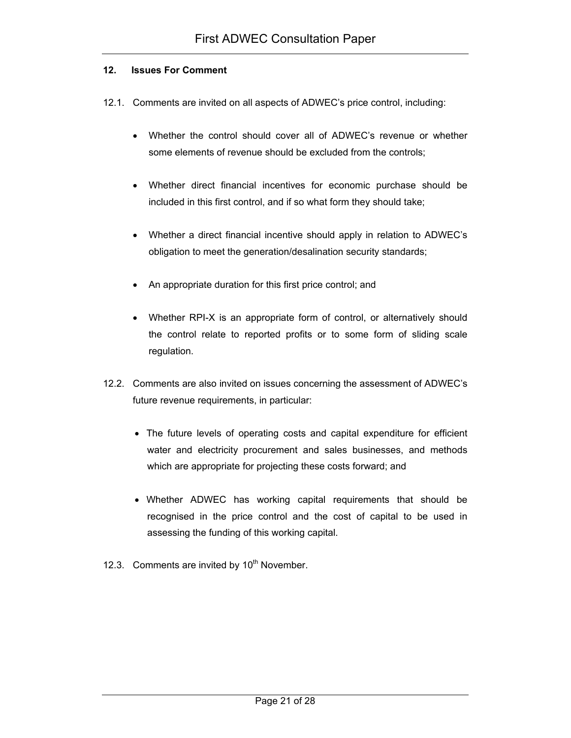#### **12. Issues For Comment**

- 12.1. Comments are invited on all aspects of ADWEC's price control, including:
	- Whether the control should cover all of ADWEC's revenue or whether some elements of revenue should be excluded from the controls;
	- Whether direct financial incentives for economic purchase should be included in this first control, and if so what form they should take;
	- Whether a direct financial incentive should apply in relation to ADWEC's obligation to meet the generation/desalination security standards;
	- An appropriate duration for this first price control; and
	- Whether RPI-X is an appropriate form of control, or alternatively should the control relate to reported profits or to some form of sliding scale regulation.
- 12.2. Comments are also invited on issues concerning the assessment of ADWEC's future revenue requirements, in particular:
	- The future levels of operating costs and capital expenditure for efficient water and electricity procurement and sales businesses, and methods which are appropriate for projecting these costs forward; and
	- Whether ADWEC has working capital requirements that should be recognised in the price control and the cost of capital to be used in assessing the funding of this working capital.
- 12.3. Comments are invited by  $10<sup>th</sup>$  November.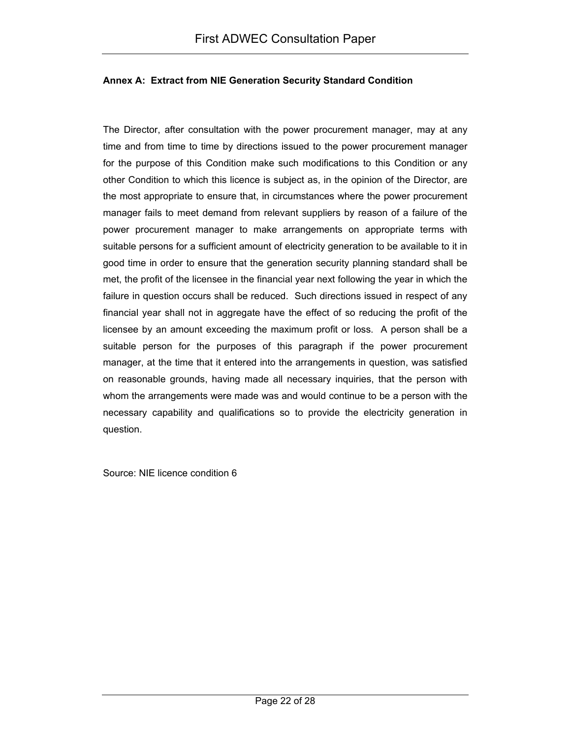#### **Annex A: Extract from NIE Generation Security Standard Condition**

The Director, after consultation with the power procurement manager, may at any time and from time to time by directions issued to the power procurement manager for the purpose of this Condition make such modifications to this Condition or any other Condition to which this licence is subject as, in the opinion of the Director, are the most appropriate to ensure that, in circumstances where the power procurement manager fails to meet demand from relevant suppliers by reason of a failure of the power procurement manager to make arrangements on appropriate terms with suitable persons for a sufficient amount of electricity generation to be available to it in good time in order to ensure that the generation security planning standard shall be met, the profit of the licensee in the financial year next following the year in which the failure in question occurs shall be reduced. Such directions issued in respect of any financial year shall not in aggregate have the effect of so reducing the profit of the licensee by an amount exceeding the maximum profit or loss. A person shall be a suitable person for the purposes of this paragraph if the power procurement manager, at the time that it entered into the arrangements in question, was satisfied on reasonable grounds, having made all necessary inquiries, that the person with whom the arrangements were made was and would continue to be a person with the necessary capability and qualifications so to provide the electricity generation in question.

Source: NIE licence condition 6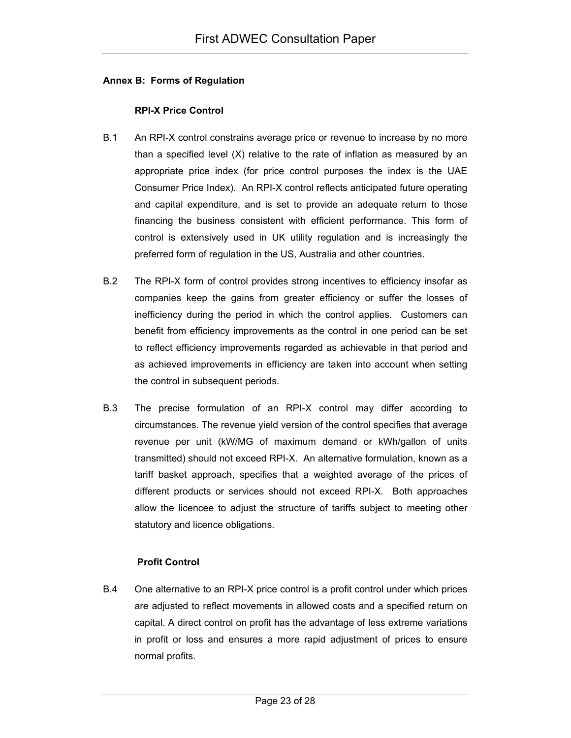#### **Annex B: Forms of Regulation**

### **RPI-X Price Control**

- B.1 An RPI-X control constrains average price or revenue to increase by no more than a specified level (X) relative to the rate of inflation as measured by an appropriate price index (for price control purposes the index is the UAE Consumer Price Index). An RPI-X control reflects anticipated future operating and capital expenditure, and is set to provide an adequate return to those financing the business consistent with efficient performance. This form of control is extensively used in UK utility regulation and is increasingly the preferred form of regulation in the US, Australia and other countries.
- B.2 The RPI-X form of control provides strong incentives to efficiency insofar as companies keep the gains from greater efficiency or suffer the losses of inefficiency during the period in which the control applies. Customers can benefit from efficiency improvements as the control in one period can be set to reflect efficiency improvements regarded as achievable in that period and as achieved improvements in efficiency are taken into account when setting the control in subsequent periods.
- B.3 The precise formulation of an RPI-X control may differ according to circumstances. The revenue yield version of the control specifies that average revenue per unit (kW/MG of maximum demand or kWh/gallon of units transmitted) should not exceed RPI-X. An alternative formulation, known as a tariff basket approach, specifies that a weighted average of the prices of different products or services should not exceed RPI-X. Both approaches allow the licencee to adjust the structure of tariffs subject to meeting other statutory and licence obligations.

#### **Profit Control**

B.4 One alternative to an RPI-X price control is a profit control under which prices are adjusted to reflect movements in allowed costs and a specified return on capital. A direct control on profit has the advantage of less extreme variations in profit or loss and ensures a more rapid adjustment of prices to ensure normal profits.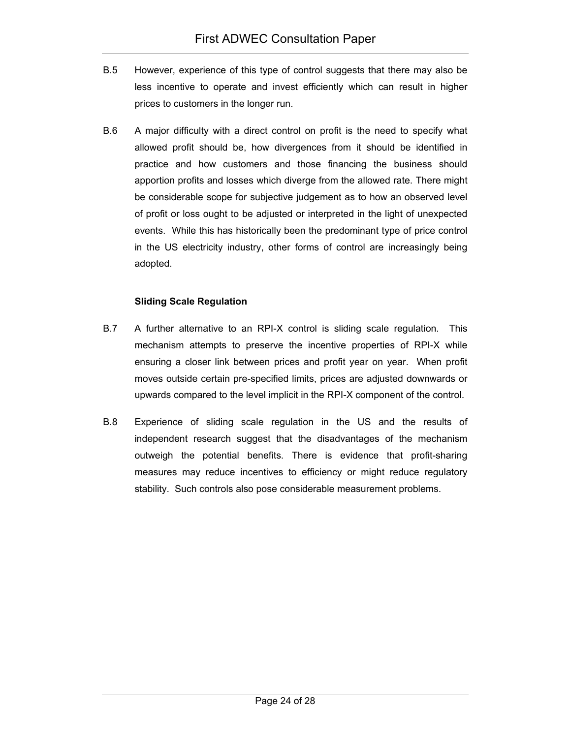- B.5 However, experience of this type of control suggests that there may also be less incentive to operate and invest efficiently which can result in higher prices to customers in the longer run.
- B.6 A major difficulty with a direct control on profit is the need to specify what allowed profit should be, how divergences from it should be identified in practice and how customers and those financing the business should apportion profits and losses which diverge from the allowed rate. There might be considerable scope for subjective judgement as to how an observed level of profit or loss ought to be adjusted or interpreted in the light of unexpected events. While this has historically been the predominant type of price control in the US electricity industry, other forms of control are increasingly being adopted.

#### **Sliding Scale Regulation**

- B.7 A further alternative to an RPI-X control is sliding scale regulation. This mechanism attempts to preserve the incentive properties of RPI-X while ensuring a closer link between prices and profit year on year. When profit moves outside certain pre-specified limits, prices are adjusted downwards or upwards compared to the level implicit in the RPI-X component of the control.
- B.8 Experience of sliding scale regulation in the US and the results of independent research suggest that the disadvantages of the mechanism outweigh the potential benefits. There is evidence that profit-sharing measures may reduce incentives to efficiency or might reduce regulatory stability. Such controls also pose considerable measurement problems.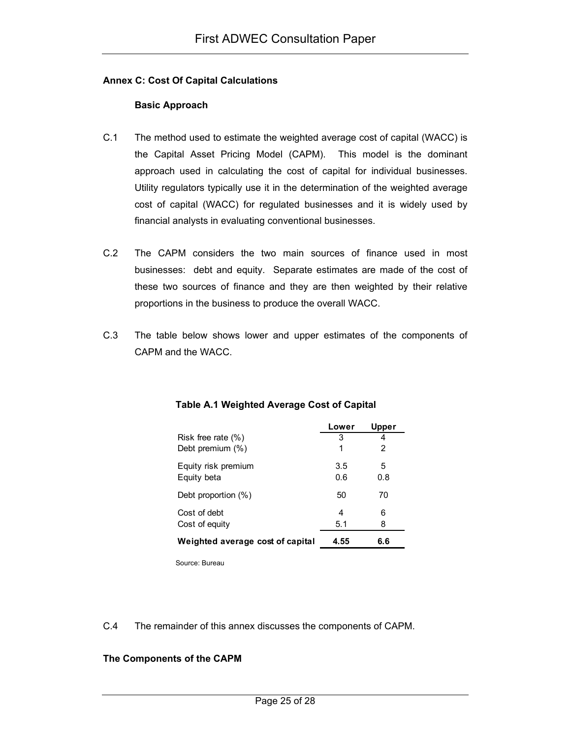#### **Annex C: Cost Of Capital Calculations**

### **Basic Approach**

- C.1 The method used to estimate the weighted average cost of capital (WACC) is the Capital Asset Pricing Model (CAPM). This model is the dominant approach used in calculating the cost of capital for individual businesses. Utility regulators typically use it in the determination of the weighted average cost of capital (WACC) for regulated businesses and it is widely used by financial analysts in evaluating conventional businesses.
- C.2 The CAPM considers the two main sources of finance used in most businesses: debt and equity. Separate estimates are made of the cost of these two sources of finance and they are then weighted by their relative proportions in the business to produce the overall WACC.
- C.3 The table below shows lower and upper estimates of the components of CAPM and the WACC.

|                                  | Lower | <b>Upper</b> |
|----------------------------------|-------|--------------|
| Risk free rate $(\%)$            | 3     |              |
| Debt premium (%)                 | 1     | 2            |
| Equity risk premium              | 3.5   | 5            |
| Equity beta                      | 0.6   | 0.8          |
| Debt proportion (%)              | 50    | 70           |
| Cost of debt                     | 4     | 6            |
| Cost of equity                   | 5.1   | 8            |
| Weighted average cost of capital | 4.55  | 6.6          |

#### **Table A.1 Weighted Average Cost of Capital**

Source: Bureau

# C.4 The remainder of this annex discusses the components of CAPM.

# **The Components of the CAPM**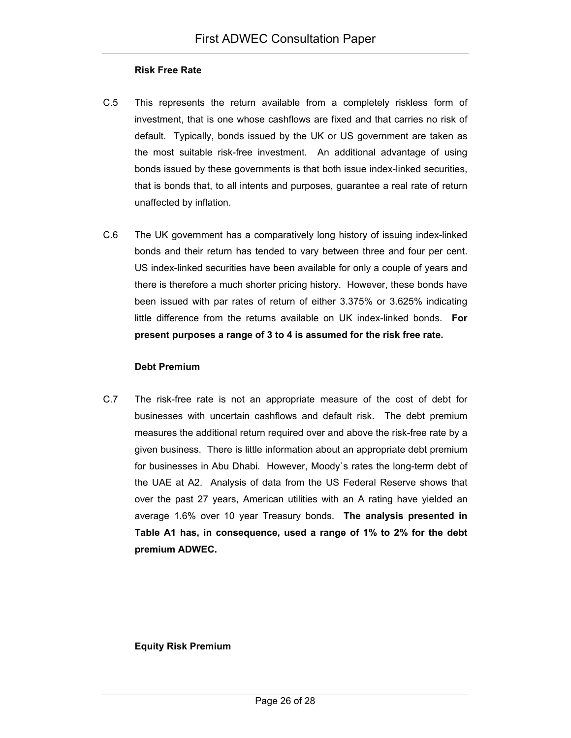#### **Risk Free Rate**

- C.5 This represents the return available from a completely riskless form of investment, that is one whose cashflows are fixed and that carries no risk of default. Typically, bonds issued by the UK or US government are taken as the most suitable risk-free investment. An additional advantage of using bonds issued by these governments is that both issue index-linked securities, that is bonds that, to all intents and purposes, guarantee a real rate of return unaffected by inflation.
- C.6 The UK government has a comparatively long history of issuing index-linked bonds and their return has tended to vary between three and four per cent. US index-linked securities have been available for only a couple of years and there is therefore a much shorter pricing history. However, these bonds have been issued with par rates of return of either 3.375% or 3.625% indicating little difference from the returns available on UK index-linked bonds. **For present purposes a range of 3 to 4 is assumed for the risk free rate.**

#### **Debt Premium**

C.7 The risk-free rate is not an appropriate measure of the cost of debt for businesses with uncertain cashflows and default risk. The debt premium measures the additional return required over and above the risk-free rate by a given business. There is little information about an appropriate debt premium for businesses in Abu Dhabi. However, Moody`s rates the long-term debt of the UAE at A2. Analysis of data from the US Federal Reserve shows that over the past 27 years, American utilities with an A rating have yielded an average 1.6% over 10 year Treasury bonds. **The analysis presented in Table A1 has, in consequence, used a range of 1% to 2% for the debt premium ADWEC.**

**Equity Risk Premium**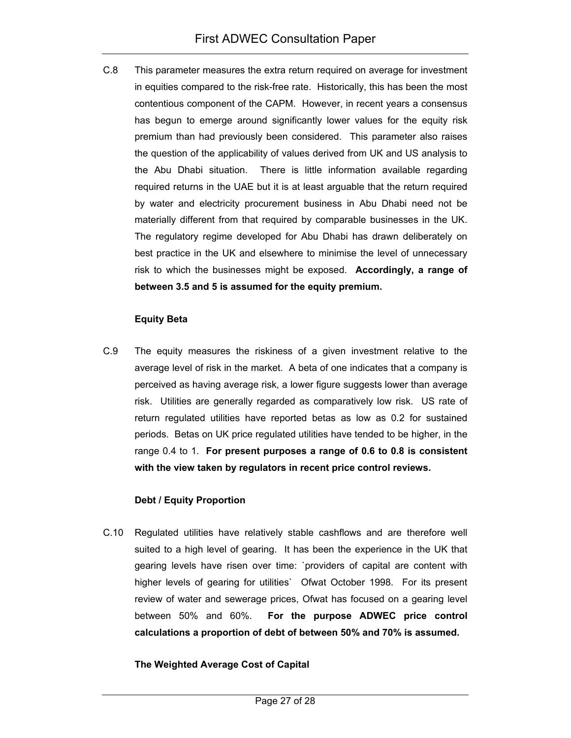C.8 This parameter measures the extra return required on average for investment in equities compared to the risk-free rate. Historically, this has been the most contentious component of the CAPM. However, in recent years a consensus has begun to emerge around significantly lower values for the equity risk premium than had previously been considered. This parameter also raises the question of the applicability of values derived from UK and US analysis to the Abu Dhabi situation. There is little information available regarding required returns in the UAE but it is at least arguable that the return required by water and electricity procurement business in Abu Dhabi need not be materially different from that required by comparable businesses in the UK. The regulatory regime developed for Abu Dhabi has drawn deliberately on best practice in the UK and elsewhere to minimise the level of unnecessary risk to which the businesses might be exposed. **Accordingly, a range of between 3.5 and 5 is assumed for the equity premium.** 

#### **Equity Beta**

C.9 The equity measures the riskiness of a given investment relative to the average level of risk in the market. A beta of one indicates that a company is perceived as having average risk, a lower figure suggests lower than average risk. Utilities are generally regarded as comparatively low risk. US rate of return regulated utilities have reported betas as low as 0.2 for sustained periods. Betas on UK price regulated utilities have tended to be higher, in the range 0.4 to 1. **For present purposes a range of 0.6 to 0.8 is consistent with the view taken by regulators in recent price control reviews.**

#### **Debt / Equity Proportion**

C.10 Regulated utilities have relatively stable cashflows and are therefore well suited to a high level of gearing. It has been the experience in the UK that gearing levels have risen over time: `providers of capital are content with higher levels of gearing for utilities` Ofwat October 1998. For its present review of water and sewerage prices, Ofwat has focused on a gearing level between 50% and 60%. **For the purpose ADWEC price control calculations a proportion of debt of between 50% and 70% is assumed.**

#### **The Weighted Average Cost of Capital**